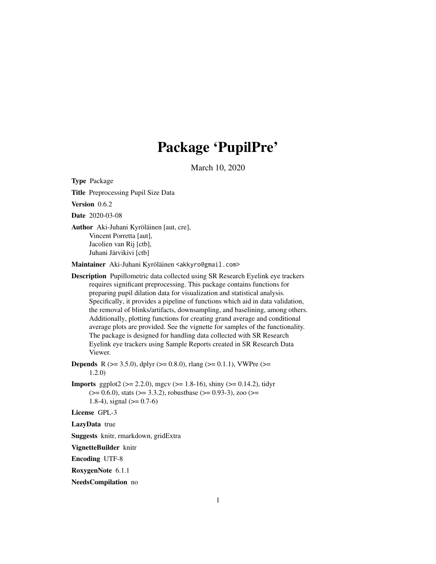## Package 'PupilPre'

March 10, 2020

<span id="page-0-0"></span>Type Package

Title Preprocessing Pupil Size Data

Version 0.6.2

Date 2020-03-08

Author Aki-Juhani Kyröläinen [aut, cre], Vincent Porretta [aut], Jacolien van Rij [ctb], Juhani Järvikivi [ctb]

Maintainer Aki-Juhani Kyröläinen <akkyro@gmail.com>

Description Pupillometric data collected using SR Research Eyelink eye trackers requires significant preprocessing. This package contains functions for preparing pupil dilation data for visualization and statistical analysis. Specifically, it provides a pipeline of functions which aid in data validation, the removal of blinks/artifacts, downsampling, and baselining, among others. Additionally, plotting functions for creating grand average and conditional average plots are provided. See the vignette for samples of the functionality. The package is designed for handling data collected with SR Research Eyelink eye trackers using Sample Reports created in SR Research Data Viewer.

**Depends** R ( $>= 3.5.0$ ), dplyr ( $>= 0.8.0$ ), rlang ( $>= 0.1.1$ ), VWPre ( $>=$ 1.2.0)

**Imports** ggplot2 ( $>= 2.2.0$ ), mgcv ( $>= 1.8-16$ ), shiny ( $>= 0.14.2$ ), tidyr  $(>= 0.6.0)$ , stats  $(>= 3.3.2)$ , robustbase  $(>= 0.93-3)$ , zoo  $(>= 0.93-3)$ 1.8-4), signal  $(>= 0.7-6)$ 

License GPL-3

LazyData true

Suggests knitr, rmarkdown, gridExtra

VignetteBuilder knitr

Encoding UTF-8

RoxygenNote 6.1.1

NeedsCompilation no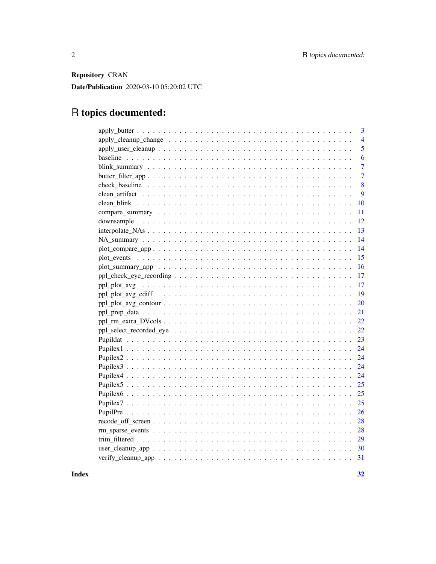Repository CRAN

Date/Publication 2020-03-10 05:20:02 UTC

# R topics documented:

| 3              |
|----------------|
| $\overline{4}$ |
| 5              |
| 6              |
| $\overline{7}$ |
| $\overline{7}$ |
| 8              |
| 9              |
| 10             |
| 11             |
| 12             |
| 13             |
| 14             |
| 14             |
| 15             |
| 16             |
| 17             |
| 17             |
| 19             |
| 20             |
| 21             |
| 22             |
| 22             |
| 23             |
| 24             |
| 24             |
| 24             |
| 24             |
| 25             |
| 25             |
| 25             |
| 26             |
| 28             |
| 28             |
| 29             |
| 30             |
| 31             |
|                |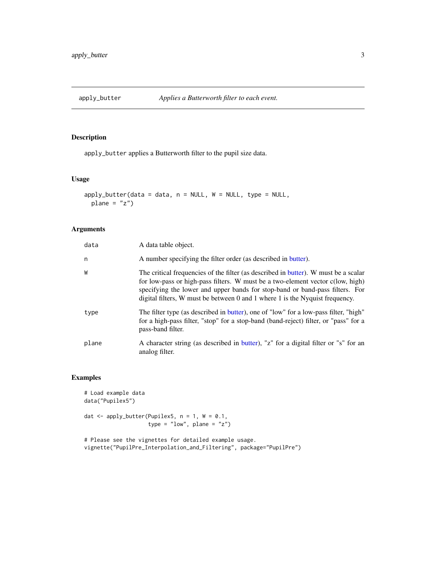<span id="page-2-1"></span><span id="page-2-0"></span>

apply\_butter applies a Butterworth filter to the pupil size data.

#### Usage

```
apply_butter(data = data, n = NULL, W = NULL, type = NULL,plane = "z")
```
## Arguments

| data  | A data table object.                                                                                                                                                                                                                                                                                                                  |
|-------|---------------------------------------------------------------------------------------------------------------------------------------------------------------------------------------------------------------------------------------------------------------------------------------------------------------------------------------|
| n     | A number specifying the filter order (as described in butter).                                                                                                                                                                                                                                                                        |
| W     | The critical frequencies of the filter (as described in butter). W must be a scalar<br>for low-pass or high-pass filters. W must be a two-element vector c(low, high)<br>specifying the lower and upper bands for stop-band or band-pass filters. For<br>digital filters, W must be between 0 and 1 where 1 is the Nyquist frequency. |
| type  | The filter type (as described in butter), one of "low" for a low-pass filter, "high"<br>for a high-pass filter, "stop" for a stop-band (band-reject) filter, or "pass" for a<br>pass-band filter.                                                                                                                                     |
| plane | A character string (as described in butter), "z" for a digital filter or "s" for an<br>analog filter.                                                                                                                                                                                                                                 |

```
# Load example data
data("Pupilex5")
dat \leq apply_butter(Pupilex5, n = 1, W = 0.1,
                     type = "low", plane = "z")
```

```
# Please see the vignettes for detailed example usage.
vignette("PupilPre_Interpolation_and_Filtering", package="PupilPre")
```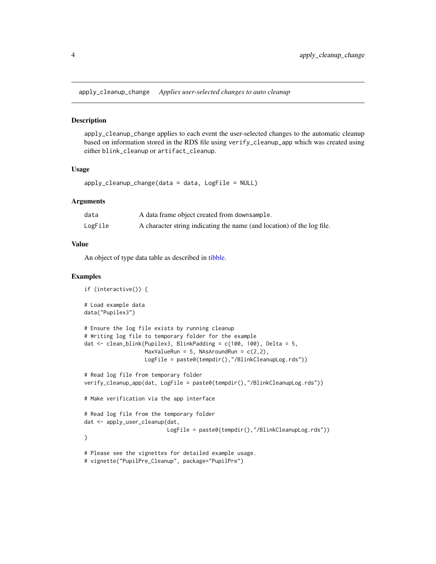<span id="page-3-1"></span><span id="page-3-0"></span>apply\_cleanup\_change *Applies user-selected changes to auto cleanup*

#### Description

apply\_cleanup\_change applies to each event the user-selected changes to the automatic cleanup based on information stored in the RDS file using verify\_cleanup\_app which was created using either blink\_cleanup or artifact\_cleanup.

#### Usage

apply\_cleanup\_change(data = data, LogFile = NULL)

#### Arguments

| data    | A data frame object created from downsample.                           |
|---------|------------------------------------------------------------------------|
| LogFile | A character string indicating the name (and location) of the log file. |

#### Value

An object of type data table as described in [tibble.](#page-0-0)

```
if (interactive()) {
# Load example data
data("Pupilex3")
# Ensure the log file exists by running cleanup
# Writing log file to temporary folder for the example
dat <- clean_blink(Pupilex3, BlinkPadding = c(100, 100), Delta = 5,
                  MaxValueRun = 5, NAsAroundRun = c(2,2),
                  LogFile = paste0(tempdir(),"/BlinkCleanupLog.rds"))
# Read log file from temporary folder
verify_cleanup_app(dat, LogFile = paste0(tempdir(),"/BlinkCleanupLog.rds"))
# Make verification via the app interface
# Read log file from the temporary folder
dat <- apply_user_cleanup(dat,
                          LogFile = paste0(tempdir(),"/BlinkCleanupLog.rds"))
}
# Please see the vignettes for detailed example usage.
# vignette("PupilPre_Cleanup", package="PupilPre")
```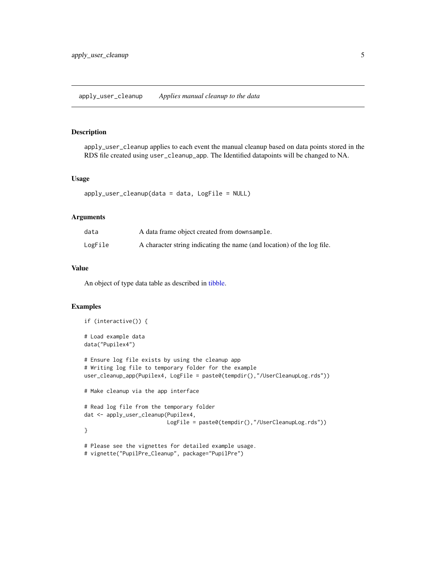<span id="page-4-1"></span><span id="page-4-0"></span>apply\_user\_cleanup applies to each event the manual cleanup based on data points stored in the RDS file created using user\_cleanup\_app. The Identified datapoints will be changed to NA.

#### Usage

```
apply_user_cleanup(data = data, LogFile = NULL)
```
## Arguments

| data    | A data frame object created from downsample.                           |
|---------|------------------------------------------------------------------------|
| LogFile | A character string indicating the name (and location) of the log file. |

#### Value

An object of type data table as described in [tibble.](#page-0-0)

```
if (interactive()) {
# Load example data
data("Pupilex4")
# Ensure log file exists by using the cleanup app
# Writing log file to temporary folder for the example
user_cleanup_app(Pupilex4, LogFile = paste0(tempdir(),"/UserCleanupLog.rds"))
# Make cleanup via the app interface
# Read log file from the temporary folder
dat <- apply_user_cleanup(Pupilex4,
                          LogFile = paste0(tempdir(),"/UserCleanupLog.rds"))
}
# Please see the vignettes for detailed example usage.
# vignette("PupilPre_Cleanup", package="PupilPre")
```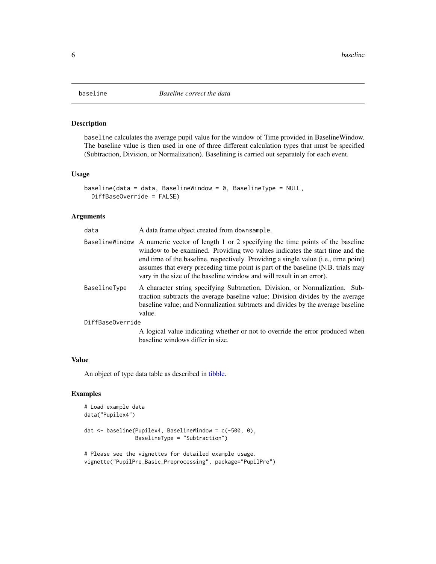<span id="page-5-1"></span><span id="page-5-0"></span>

baseline calculates the average pupil value for the window of Time provided in BaselineWindow. The baseline value is then used in one of three different calculation types that must be specified (Subtraction, Division, or Normalization). Baselining is carried out separately for each event.

#### Usage

```
baseline(data = data, BaselineWindow = 0, BaselineType = NULL,
 DiffBaseOverride = FALSE)
```
## Arguments

| data             | A data frame object created from downsample.                                                                                                                                                                                                                                                                                                                                                                                     |
|------------------|----------------------------------------------------------------------------------------------------------------------------------------------------------------------------------------------------------------------------------------------------------------------------------------------------------------------------------------------------------------------------------------------------------------------------------|
|                  | Baseline Window A numeric vector of length 1 or 2 specifying the time points of the baseline<br>window to be examined. Providing two values indicates the start time and the<br>end time of the baseline, respectively. Providing a single value (i.e., time point)<br>assumes that every preceding time point is part of the baseline (N.B. trials may<br>vary in the size of the baseline window and will result in an error). |
| BaselineType     | A character string specifying Subtraction, Division, or Normalization. Sub-<br>traction subtracts the average baseline value; Division divides by the average<br>baseline value; and Normalization subtracts and divides by the average baseline<br>value.                                                                                                                                                                       |
| DiffBaseOverride |                                                                                                                                                                                                                                                                                                                                                                                                                                  |
|                  | A logical value indicating whether or not to override the error produced when                                                                                                                                                                                                                                                                                                                                                    |

A logical value indicating whether or not to override the error produced when baseline windows differ in size.

#### Value

An object of type data table as described in [tibble.](#page-0-0)

```
# Load example data
data("Pupilex4")
dat <- baseline(Pupilex4, BaselineWindow = c(-500, 0),
                BaselineType = "Subtraction")
# Please see the vignettes for detailed example usage.
```

```
vignette("PupilPre_Basic_Preprocessing", package="PupilPre")
```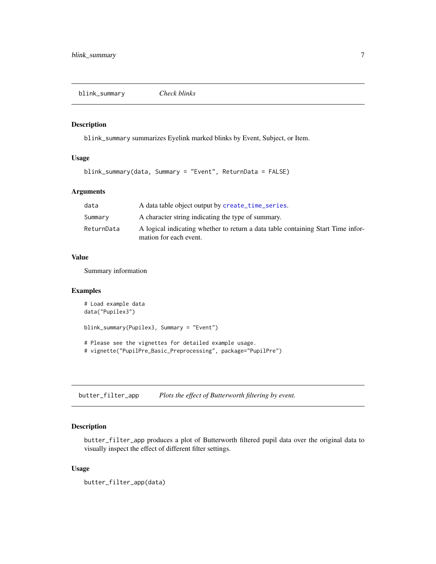<span id="page-6-1"></span><span id="page-6-0"></span>blink\_summary *Check blinks*

#### Description

blink\_summary summarizes Eyelink marked blinks by Event, Subject, or Item.

#### Usage

blink\_summary(data, Summary = "Event", ReturnData = FALSE)

## Arguments

| data       | A data table object output by create_time_series.                                                          |
|------------|------------------------------------------------------------------------------------------------------------|
| Summary    | A character string indicating the type of summary.                                                         |
| ReturnData | A logical indicating whether to return a data table containing Start Time infor-<br>mation for each event. |

#### Value

Summary information

#### Examples

```
# Load example data
data("Pupilex3")
blink_summary(Pupilex3, Summary = "Event")
# Please see the vignettes for detailed example usage.
# vignette("PupilPre_Basic_Preprocessing", package="PupilPre")
```
<span id="page-6-2"></span>butter\_filter\_app *Plots the effect of Butterworth filtering by event.*

## Description

butter\_filter\_app produces a plot of Butterworth filtered pupil data over the original data to visually inspect the effect of different filter settings.

#### Usage

butter\_filter\_app(data)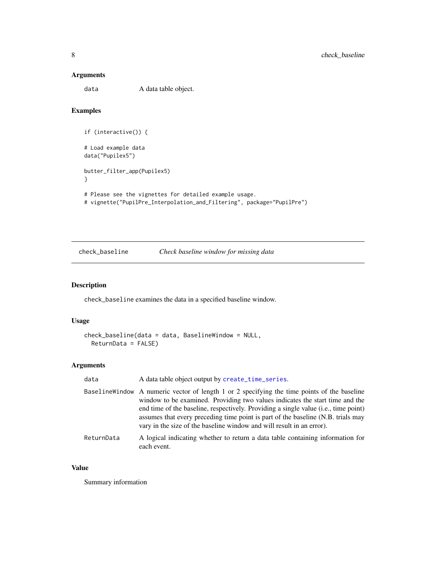#### <span id="page-7-0"></span>Arguments

data A data table object.

## Examples

```
if (interactive()) {
# Load example data
data("Pupilex5")
butter_filter_app(Pupilex5)
}
# Please see the vignettes for detailed example usage.
# vignette("PupilPre_Interpolation_and_Filtering", package="PupilPre")
```
<span id="page-7-1"></span>check\_baseline *Check baseline window for missing data*

## Description

check\_baseline examines the data in a specified baseline window.

## Usage

```
check_baseline(data = data, BaselineWindow = NULL,
 ReturnData = FALSE)
```
## Arguments

| data       | A data table object output by create_time_series.                                                                                                                                                                                                                                                                                                                                                                               |
|------------|---------------------------------------------------------------------------------------------------------------------------------------------------------------------------------------------------------------------------------------------------------------------------------------------------------------------------------------------------------------------------------------------------------------------------------|
|            | BaselineWindow A numeric vector of length 1 or 2 specifying the time points of the baseline<br>window to be examined. Providing two values indicates the start time and the<br>end time of the baseline, respectively. Providing a single value (i.e., time point)<br>assumes that every preceding time point is part of the baseline (N.B. trials may<br>vary in the size of the baseline window and will result in an error). |
| ReturnData | A logical indicating whether to return a data table containing information for<br>each event.                                                                                                                                                                                                                                                                                                                                   |

#### Value

Summary information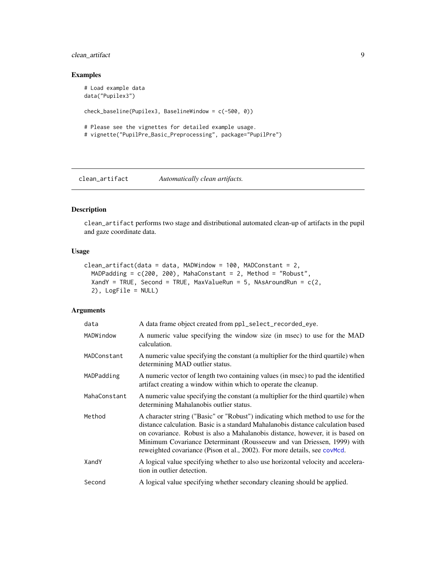## <span id="page-8-0"></span>clean\_artifact 9

## Examples

```
# Load example data
data("Pupilex3")
check_baseline(Pupilex3, BaselineWindow = c(-500, 0))
# Please see the vignettes for detailed example usage.
# vignette("PupilPre_Basic_Preprocessing", package="PupilPre")
```
<span id="page-8-1"></span>clean\_artifact *Automatically clean artifacts.*

#### Description

clean\_artifact performs two stage and distributional automated clean-up of artifacts in the pupil and gaze coordinate data.

#### Usage

```
clean_artifact(data = data, MADWindow = 100, MADConstant = 2,MADPadding = c(200, 200), MahaConstant = 2, Method = "Robust",
  XandY = TRUE, Second = TRUE, MaxValueRun = 5, NAsAroundRun = c(2, 1)2), LogFile = NULL)
```
## Arguments

| data         | A data frame object created from ppl_select_recorded_eye.                                                                                                                                                                                                                                                                                                                                                   |
|--------------|-------------------------------------------------------------------------------------------------------------------------------------------------------------------------------------------------------------------------------------------------------------------------------------------------------------------------------------------------------------------------------------------------------------|
| MADWindow    | A numeric value specifying the window size (in msec) to use for the MAD<br>calculation.                                                                                                                                                                                                                                                                                                                     |
| MADConstant  | A numeric value specifying the constant (a multiplier for the third quartile) when<br>determining MAD outlier status.                                                                                                                                                                                                                                                                                       |
| MADPadding   | A numeric vector of length two containing values (in msec) to pad the identified<br>artifact creating a window within which to operate the cleanup.                                                                                                                                                                                                                                                         |
| MahaConstant | A numeric value specifying the constant (a multiplier for the third quartile) when<br>determining Mahalanobis outlier status.                                                                                                                                                                                                                                                                               |
| Method       | A character string ("Basic" or "Robust") indicating which method to use for the<br>distance calculation. Basic is a standard Mahalanobis distance calculation based<br>on covariance. Robust is also a Mahalanobis distance, however, it is based on<br>Minimum Covariance Determinant (Rousseeuw and van Driessen, 1999) with<br>reweighted covariance (Pison et al., 2002). For more details, see covMcd. |
| XandY        | A logical value specifying whether to also use horizontal velocity and accelera-<br>tion in outlier detection.                                                                                                                                                                                                                                                                                              |
| Second       | A logical value specifying whether secondary cleaning should be applied.                                                                                                                                                                                                                                                                                                                                    |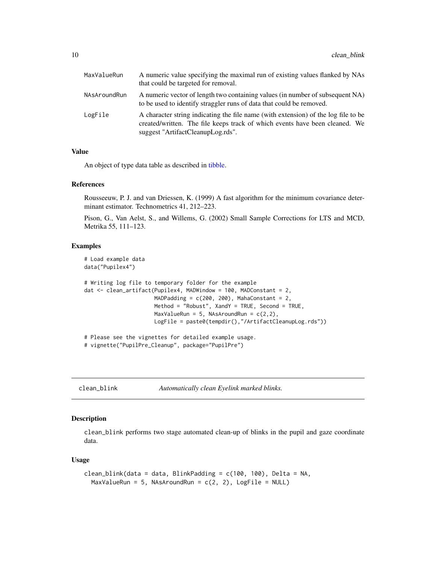<span id="page-9-0"></span>

| MaxValueRun  | A numeric value specifying the maximal run of existing values flanked by NAs<br>that could be targeted for removal.                                                                                    |
|--------------|--------------------------------------------------------------------------------------------------------------------------------------------------------------------------------------------------------|
| NAsAroundRun | A numeric vector of length two containing values (in number of subsequent NA)<br>to be used to identify straggler runs of data that could be removed.                                                  |
| LogFile      | A character string indicating the file name (with extension) of the log file to be<br>created/written. The file keeps track of which events have been cleaned. We<br>suggest "ArtifactCleanupLog.rds". |

#### Value

An object of type data table as described in [tibble.](#page-0-0)

#### References

Rousseeuw, P. J. and van Driessen, K. (1999) A fast algorithm for the minimum covariance determinant estimator. Technometrics 41, 212–223.

Pison, G., Van Aelst, S., and Willems, G. (2002) Small Sample Corrections for LTS and MCD, Metrika 55, 111–123.

## Examples

```
# Load example data
data("Pupilex4")
# Writing log file to temporary folder for the example
dat <- clean_artifact(Pupilex4, MADWindow = 100, MADConstant = 2,
                      MADPadding = c(200, 200), MahaConstant = 2,
                      Method = "Robust", XandY = TRUE, Second = TRUE,
                      MaxValueRun = 5, NAsAroundRun = c(2,2),
                      LogFile = paste0(tempdir(),"/ArtifactCleanupLog.rds"))
# Please see the vignettes for detailed example usage.
```
# vignette("PupilPre\_Cleanup", package="PupilPre")

<span id="page-9-1"></span>clean\_blink *Automatically clean Eyelink marked blinks.*

## Description

clean\_blink performs two stage automated clean-up of blinks in the pupil and gaze coordinate data.

#### Usage

```
clean_blink(data = data, BlinkPadding = c(100, 100), Delta = NA,
 MaxValueRun = 5, NAsAroundRun = c(2, 2), LogFile = NULL)
```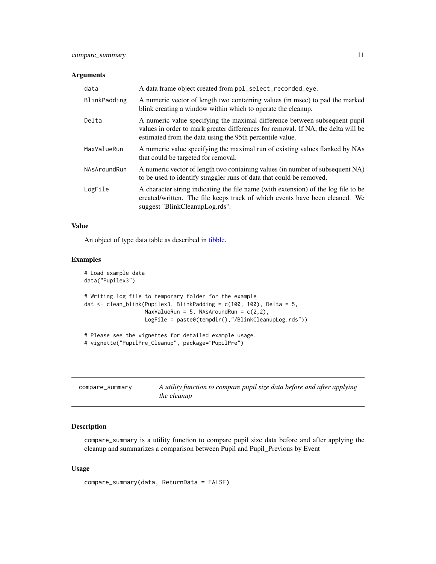## <span id="page-10-0"></span>Arguments

| data         | A data frame object created from ppl_select_recorded_eye.                                                                                                                                                                   |
|--------------|-----------------------------------------------------------------------------------------------------------------------------------------------------------------------------------------------------------------------------|
| BlinkPadding | A numeric vector of length two containing values (in msec) to pad the marked<br>blink creating a window within which to operate the cleanup.                                                                                |
| Delta        | A numeric value specifying the maximal difference between subsequent pupil<br>values in order to mark greater differences for removal. If NA, the delta will be<br>estimated from the data using the 95th percentile value. |
| MaxValueRun  | A numeric value specifying the maximal run of existing values flanked by NAs<br>that could be targeted for removal.                                                                                                         |
| NAsAroundRun | A numeric vector of length two containing values (in number of subsequent NA)<br>to be used to identify straggler runs of data that could be removed.                                                                       |
| LogFile      | A character string indicating the file name (with extension) of the log file to be<br>created/written. The file keeps track of which events have been cleaned. We<br>suggest "BlinkCleanupLog.rds".                         |

## Value

An object of type data table as described in [tibble.](#page-0-0)

#### Examples

```
# Load example data
data("Pupilex3")
# Writing log file to temporary folder for the example
dat <- clean_blink(Pupilex3, BlinkPadding = c(100, 100), Delta = 5,
                   MaxValueRun = 5, NAsAroundRun = c(2,2),
                   LogFile = paste0(tempdir(),"/BlinkCleanupLog.rds"))
# Please see the vignettes for detailed example usage.
# vignette("PupilPre_Cleanup", package="PupilPre")
```
<span id="page-10-1"></span>

| compare_summary | A utility function to compare pupil size data before and after applying |
|-----------------|-------------------------------------------------------------------------|
|                 | <i>the cleanup</i>                                                      |

## Description

compare\_summary is a utility function to compare pupil size data before and after applying the cleanup and summarizes a comparison between Pupil and Pupil\_Previous by Event

## Usage

```
compare_summary(data, ReturnData = FALSE)
```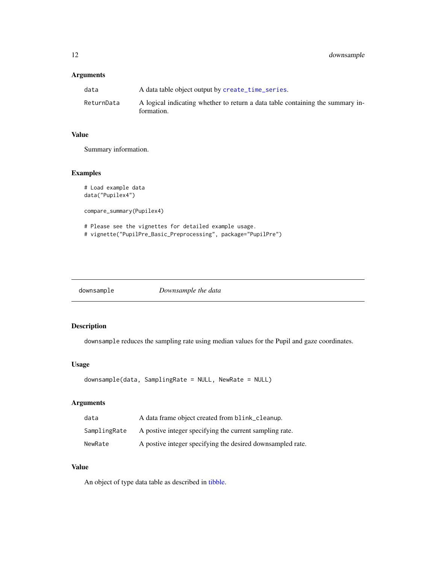## <span id="page-11-0"></span>Arguments

| data       | A data table object output by create_time_series.                                            |
|------------|----------------------------------------------------------------------------------------------|
| ReturnData | A logical indicating whether to return a data table containing the summary in-<br>formation. |

## Value

Summary information.

## Examples

```
# Load example data
data("Pupilex4")
compare_summary(Pupilex4)
# Please see the vignettes for detailed example usage.
# vignette("PupilPre_Basic_Preprocessing", package="PupilPre")
```
<span id="page-11-1"></span>

## Description

downsample reduces the sampling rate using median values for the Pupil and gaze coordinates.

## Usage

```
downsample(data, SamplingRate = NULL, NewRate = NULL)
```
## Arguments

| data         | A data frame object created from blink_cleanup.            |
|--------------|------------------------------------------------------------|
| SamplingRate | A postive integer specifying the current sampling rate.    |
| NewRate      | A postive integer specifying the desired downsampled rate. |

## Value

An object of type data table as described in [tibble.](#page-0-0)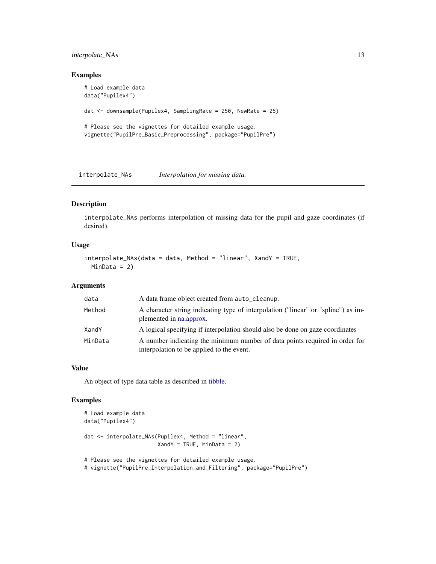## <span id="page-12-0"></span>interpolate\_NAs 13

## Examples

```
# Load example data
data("Pupilex4")
dat <- downsample(Pupilex4, SamplingRate = 250, NewRate = 25)
# Please see the vignettes for detailed example usage.
vignette("PupilPre_Basic_Preprocessing", package="PupilPre")
```
<span id="page-12-1"></span>interpolate\_NAs *Interpolation for missing data.*

## Description

interpolate\_NAs performs interpolation of missing data for the pupil and gaze coordinates (if desired).

#### Usage

```
interpolate_NAs(data = data, Method = "linear", XandY = TRUE,
 MinData = 2)
```
## Arguments

| data    | A data frame object created from auto_cleanup.                                                                           |
|---------|--------------------------------------------------------------------------------------------------------------------------|
| Method  | A character string indicating type of interpolation ("linear" or "spline") as im-<br>plemented in na.approx.             |
| XandY   | A logical specifying if interpolation should also be done on gaze coordinates                                            |
| MinData | A number indicating the minimum number of data points required in order for<br>interpolation to be applied to the event. |

#### Value

An object of type data table as described in [tibble.](#page-0-0)

```
# Load example data
data("Pupilex4")
dat <- interpolate_NAs(Pupilex4, Method = "linear",
                      XandY = TRUE, MinData = 2)
```

```
# Please see the vignettes for detailed example usage.
# vignette("PupilPre_Interpolation_and_Filtering", package="PupilPre")
```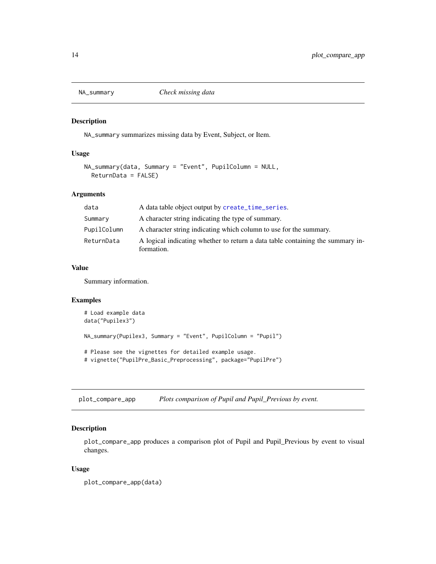<span id="page-13-1"></span><span id="page-13-0"></span>

NA\_summary summarizes missing data by Event, Subject, or Item.

#### Usage

```
NA_summary(data, Summary = "Event", PupilColumn = NULL,
 ReturnData = FALSE)
```
## Arguments

| data        | A data table object output by create_time_series.                                            |
|-------------|----------------------------------------------------------------------------------------------|
| Summary     | A character string indicating the type of summary.                                           |
| PupilColumn | A character string indicating which column to use for the summary.                           |
| ReturnData  | A logical indicating whether to return a data table containing the summary in-<br>formation. |

## Value

Summary information.

#### Examples

```
# Load example data
data("Pupilex3")
NA_summary(Pupilex3, Summary = "Event", PupilColumn = "Pupil")
# Please see the vignettes for detailed example usage.
# vignette("PupilPre_Basic_Preprocessing", package="PupilPre")
```
<span id="page-13-2"></span>plot\_compare\_app *Plots comparison of Pupil and Pupil\_Previous by event.*

## Description

plot\_compare\_app produces a comparison plot of Pupil and Pupil\_Previous by event to visual changes.

#### Usage

plot\_compare\_app(data)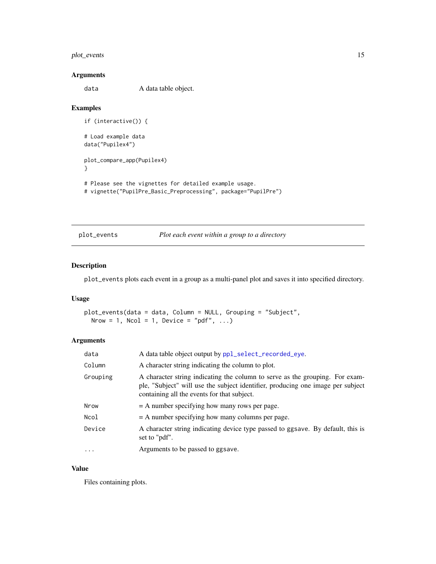## <span id="page-14-0"></span>plot\_events 15

## Arguments

data A data table object.

## Examples

```
if (interactive()) {
# Load example data
data("Pupilex4")
plot_compare_app(Pupilex4)
}
# Please see the vignettes for detailed example usage.
# vignette("PupilPre_Basic_Preprocessing", package="PupilPre")
```
<span id="page-14-1"></span>plot\_events *Plot each event within a group to a directory*

#### Description

plot\_events plots each event in a group as a multi-panel plot and saves it into specified directory.

#### Usage

plot\_events(data = data, Column = NULL, Grouping = "Subject", Nrow = 1, Ncol = 1, Device = "pdf",  $\dots$ )

## Arguments

| data     | A data table object output by ppl_select_recorded_eye.                                                                                                                                                         |
|----------|----------------------------------------------------------------------------------------------------------------------------------------------------------------------------------------------------------------|
| Column   | A character string indicating the column to plot.                                                                                                                                                              |
| Grouping | A character string indicating the column to serve as the grouping. For exam-<br>ple, "Subject" will use the subject identifier, producing one image per subject<br>containing all the events for that subject. |
| Nrow     | $=$ A number specifying how many rows per page.                                                                                                                                                                |
| Ncol     | $=$ A number specifying how many columns per page.                                                                                                                                                             |
| Device   | A character string indicating device type passed to ggsave. By default, this is<br>set to "pdf".                                                                                                               |
| $\cdots$ | Arguments to be passed to ggsave.                                                                                                                                                                              |

## Value

Files containing plots.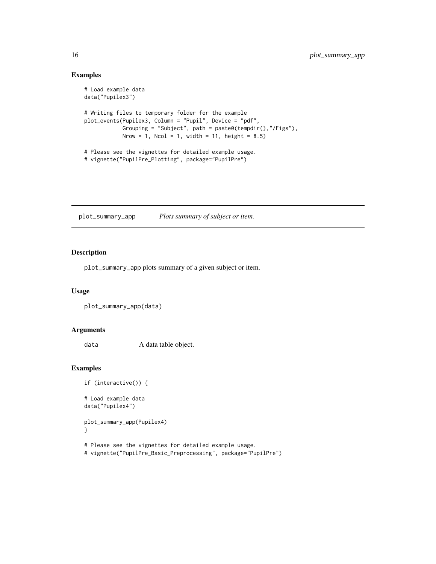## Examples

```
# Load example data
data("Pupilex3")
# Writing files to temporary folder for the example
plot_events(Pupilex3, Column = "Pupil", Device = "pdf",
           Grouping = "Subject", path = paste0(tempdir(),"/Figs"),
           Nrow = 1, Ncol = 1, width = 11, height = 8.5)
# Please see the vignettes for detailed example usage.
# vignette("PupilPre_Plotting", package="PupilPre")
```
<span id="page-15-1"></span>plot\_summary\_app *Plots summary of subject or item.*

## Description

plot\_summary\_app plots summary of a given subject or item.

## Usage

```
plot_summary_app(data)
```
## Arguments

data A data table object.

## Examples

```
if (interactive()) {
```
# Load example data data("Pupilex4")

plot\_summary\_app(Pupilex4) }

# Please see the vignettes for detailed example usage.

# vignette("PupilPre\_Basic\_Preprocessing", package="PupilPre")

<span id="page-15-0"></span>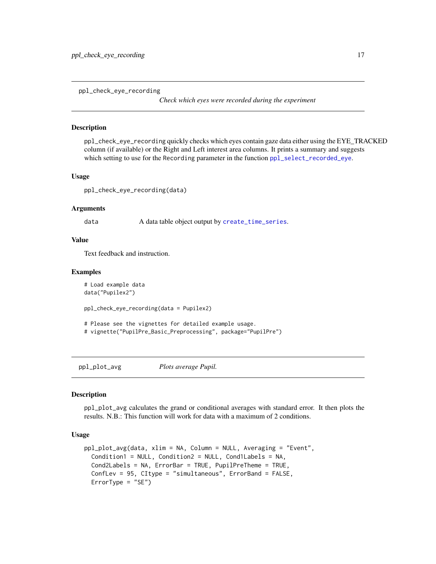<span id="page-16-1"></span><span id="page-16-0"></span>ppl\_check\_eye\_recording

*Check which eyes were recorded during the experiment*

#### **Description**

ppl\_check\_eye\_recording quickly checks which eyes contain gaze data either using the EYE\_TRACKED column (if available) or the Right and Left interest area columns. It prints a summary and suggests which setting to use for the Recording parameter in the function [ppl\\_select\\_recorded\\_eye](#page-21-1).

#### Usage

ppl\_check\_eye\_recording(data)

#### Arguments

data A data table object output by [create\\_time\\_series](#page-0-0).

#### Value

Text feedback and instruction.

#### Examples

```
# Load example data
data("Pupilex2")
ppl_check_eye_recording(data = Pupilex2)
# Please see the vignettes for detailed example usage.
# vignette("PupilPre_Basic_Preprocessing", package="PupilPre")
```
<span id="page-16-2"></span>ppl\_plot\_avg *Plots average Pupil.*

## Description

ppl\_plot\_avg calculates the grand or conditional averages with standard error. It then plots the results. N.B.: This function will work for data with a maximum of 2 conditions.

## Usage

```
ppl_plot_avg(data, xlim = NA, Column = NULL, Averaging = "Event",
 Condition1 = NULL, Condition2 = NULL, Cond1Labels = NA,
 Cond2Labels = NA, ErrorBar = TRUE, PupilPreTheme = TRUE,
  ConfLev = 95, CItype = "simultaneous", ErrorBand = FALSE,
 ErrorType = "SE")
```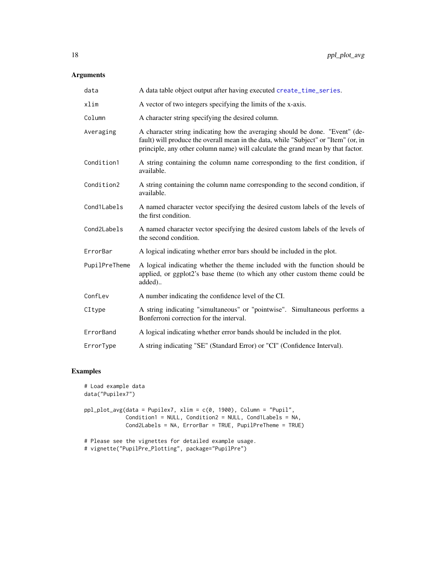## <span id="page-17-0"></span>Arguments

| data          | A data table object output after having executed create_time_series.                                                                                                                                                                                   |
|---------------|--------------------------------------------------------------------------------------------------------------------------------------------------------------------------------------------------------------------------------------------------------|
| xlim          | A vector of two integers specifying the limits of the x-axis.                                                                                                                                                                                          |
| Column        | A character string specifying the desired column.                                                                                                                                                                                                      |
| Averaging     | A character string indicating how the averaging should be done. "Event" (de-<br>fault) will produce the overall mean in the data, while "Subject" or "Item" (or, in<br>principle, any other column name) will calculate the grand mean by that factor. |
| Condition1    | A string containing the column name corresponding to the first condition, if<br>available.                                                                                                                                                             |
| Condition2    | A string containing the column name corresponding to the second condition, if<br>available.                                                                                                                                                            |
| Cond1Labels   | A named character vector specifying the desired custom labels of the levels of<br>the first condition.                                                                                                                                                 |
| Cond2Labels   | A named character vector specifying the desired custom labels of the levels of<br>the second condition.                                                                                                                                                |
| ErrorBar      | A logical indicating whether error bars should be included in the plot.                                                                                                                                                                                |
| PupilPreTheme | A logical indicating whether the theme included with the function should be<br>applied, or ggplot2's base theme (to which any other custom theme could be<br>added)                                                                                    |
| ConfLev       | A number indicating the confidence level of the CI.                                                                                                                                                                                                    |
| CItype        | A string indicating "simultaneous" or "pointwise". Simultaneous performs a<br>Bonferroni correction for the interval.                                                                                                                                  |
| ErrorBand     | A logical indicating whether error bands should be included in the plot.                                                                                                                                                                               |
| ErrorType     | A string indicating "SE" (Standard Error) or "CI" (Confidence Interval).                                                                                                                                                                               |

```
# Load example data
data("Pupilex7")
ppl_plot_avg(data = Pupilex7, xlim = c(0, 1900), Column = "Pupil",
            Condition1 = NULL, Condition2 = NULL, Cond1Labels = NA,
            Cond2Labels = NA, ErrorBar = TRUE, PupilPreTheme = TRUE)
# Please see the vignettes for detailed example usage.
```

```
# vignette("PupilPre_Plotting", package="PupilPre")
```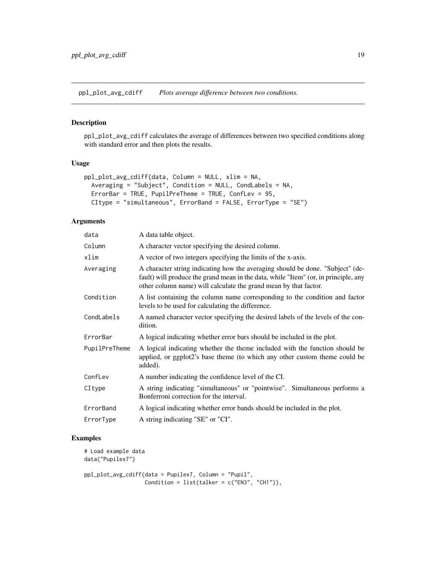<span id="page-18-1"></span><span id="page-18-0"></span>ppl\_plot\_avg\_cdiff *Plots average difference between two conditions.*

## Description

ppl\_plot\_avg\_cdiff calculates the average of differences between two specified conditions along with standard error and then plots the results.

#### Usage

```
ppl_plot_avg_cdiff(data, Column = NULL, xlim = NA,
 Averaging = "Subject", Condition = NULL, CondLabels = NA,
 ErrorBar = TRUE, PupilPreTheme = TRUE, ConfLev = 95,
 CItype = "simultaneous", ErrorBand = FALSE, ErrorType = "SE")
```
#### Arguments

| data          | A data table object.                                                                                                                                                                                                                      |
|---------------|-------------------------------------------------------------------------------------------------------------------------------------------------------------------------------------------------------------------------------------------|
| Column        | A character vector specifying the desired column.                                                                                                                                                                                         |
| xlim          | A vector of two integers specifying the limits of the x-axis.                                                                                                                                                                             |
| Averaging     | A character string indicating how the averaging should be done. "Subject" (de-<br>fault) will produce the grand mean in the data, while "Item" (or, in principle, any<br>other column name) will calculate the grand mean by that factor. |
| Condition     | A list containing the column name corresponding to the condition and factor<br>levels to be used for calculating the difference.                                                                                                          |
| CondLabels    | A named character vector specifying the desired labels of the levels of the con-<br>dition.                                                                                                                                               |
| ErrorBar      | A logical indicating whether error bars should be included in the plot.                                                                                                                                                                   |
| PupilPreTheme | A logical indicating whether the theme included with the function should be<br>applied, or ggplot2's base theme (to which any other custom theme could be<br>added).                                                                      |
| ConfLev       | A number indicating the confidence level of the CI.                                                                                                                                                                                       |
| CItype        | A string indicating "simultaneous" or "pointwise". Simultaneous performs a<br>Bonferroni correction for the interval.                                                                                                                     |
| ErrorBand     | A logical indicating whether error bands should be included in the plot.                                                                                                                                                                  |
| ErrorType     | A string indicating "SE" or "CI".                                                                                                                                                                                                         |
|               |                                                                                                                                                                                                                                           |

## Examples

# Load example data data("Pupilex7")

ppl\_plot\_avg\_cdiff(data = Pupilex7, Column = "Pupil", Condition =  $list(talker = c("EN3", "CH1"))$ ,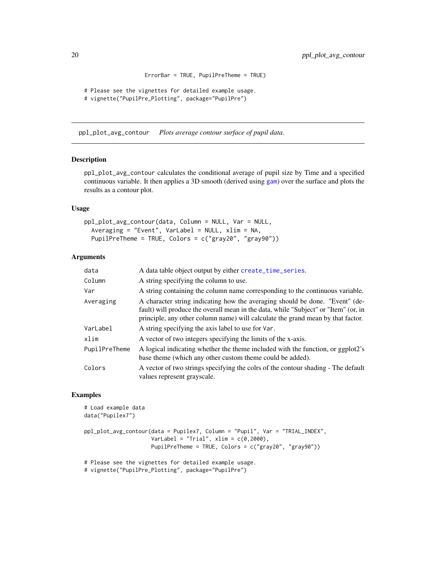```
ErrorBar = TRUE, PupilPreTheme = TRUE)
# Please see the vignettes for detailed example usage.
# vignette("PupilPre_Plotting", package="PupilPre")
```
<span id="page-19-1"></span>ppl\_plot\_avg\_contour *Plots average contour surface of pupil data.*

#### Description

ppl\_plot\_avg\_contour calculates the conditional average of pupil size by Time and a specified continuous variable. It then applies a 3D smooth (derived using [gam](#page-0-0)) over the surface and plots the results as a contour plot.

## Usage

```
ppl_plot_avg_contour(data, Column = NULL, Var = NULL,
  Averaging = "Event", VarLabel = NULL, xlim = NA,
 PupilPreTheme = TRUE, Colors = c("gray20", "gray90"))
```
#### Arguments

| data          | A data table object output by either create_time_series.                                                                                                                                                                                               |
|---------------|--------------------------------------------------------------------------------------------------------------------------------------------------------------------------------------------------------------------------------------------------------|
| Column        | A string specifying the column to use.                                                                                                                                                                                                                 |
| Var           | A string containing the column name corresponding to the continuous variable.                                                                                                                                                                          |
| Averaging     | A character string indicating how the averaging should be done. "Event" (de-<br>fault) will produce the overall mean in the data, while "Subject" or "Item" (or, in<br>principle, any other column name) will calculate the grand mean by that factor. |
| VarLabel      | A string specifying the axis label to use for Var.                                                                                                                                                                                                     |
| xlim          | A vector of two integers specifying the limits of the x-axis.                                                                                                                                                                                          |
| PupilPreTheme | A logical indicating whether the theme included with the function, or ggplot2's<br>base theme (which any other custom theme could be added).                                                                                                           |
| Colors        | A vector of two strings specifying the colrs of the contour shading - The default<br>values represent grayscale.                                                                                                                                       |

```
# Load example data
data("Pupilex7")
ppl_plot_avg_contour(data = Pupilex7, Column = "Pupil", Var = "TRIAL_INDEX",
                     VarLabel = "Trial", xlim = c(0, 2000),
                     PupilPreTheme = TRUE, Colors = c("gray20", "gray90"))
```

```
# Please see the vignettes for detailed example usage.
```

```
# vignette("PupilPre_Plotting", package="PupilPre")
```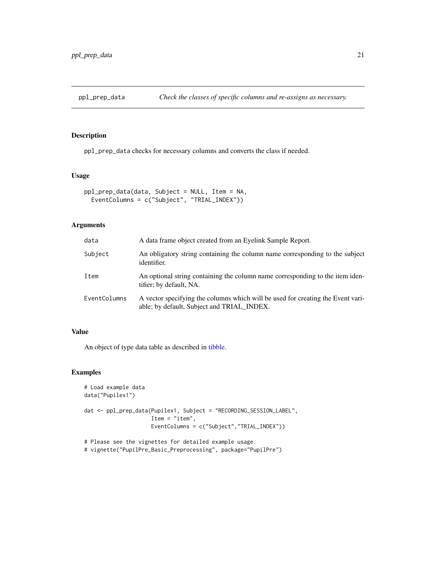<span id="page-20-1"></span><span id="page-20-0"></span>

ppl\_prep\_data checks for necessary columns and converts the class if needed.

## Usage

```
ppl_prep_data(data, Subject = NULL, Item = NA,
 EventColumns = c("Subject", "TRIAL_INDEX"))
```
## Arguments

| data         | A data frame object created from an Eyelink Sample Report.                                                                    |
|--------------|-------------------------------------------------------------------------------------------------------------------------------|
| Subject      | An obligatory string containing the column name corresponding to the subject<br>identifier.                                   |
| Item         | An optional string containing the column name corresponding to the item iden-<br>tifier; by default, NA.                      |
| EventColumns | A vector specifying the columns which will be used for creating the Event vari-<br>able; by default, Subject and TRIAL_INDEX. |

## Value

An object of type data table as described in [tibble.](#page-0-0)

```
# Load example data
data("Pupilex1")
dat <- ppl_prep_data(Pupilex1, Subject = "RECORDING_SESSION_LABEL",
                     Item = "item",
                     EventColumns = c("Subject","TRIAL_INDEX"))
# Please see the vignettes for detailed example usage.
```

```
# vignette("PupilPre_Basic_Preprocessing", package="PupilPre")
```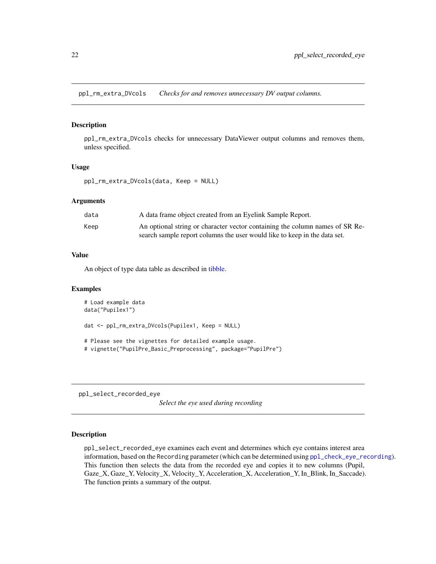<span id="page-21-2"></span><span id="page-21-0"></span>ppl\_rm\_extra\_DVcols *Checks for and removes unnecessary DV output columns.*

## Description

ppl\_rm\_extra\_DVcols checks for unnecessary DataViewer output columns and removes them, unless specified.

#### Usage

```
ppl_rm_extra_DVcols(data, Keep = NULL)
```
#### Arguments

| data | A data frame object created from an Eyelink Sample Report.                   |
|------|------------------------------------------------------------------------------|
| Keep | An optional string or character vector containing the column names of SR Re- |
|      | search sample report columns the user would like to keep in the data set.    |

## Value

An object of type data table as described in [tibble.](#page-0-0)

#### Examples

```
# Load example data
data("Pupilex1")
dat <- ppl_rm_extra_DVcols(Pupilex1, Keep = NULL)
# Please see the vignettes for detailed example usage.
# vignette("PupilPre_Basic_Preprocessing", package="PupilPre")
```
<span id="page-21-1"></span>ppl\_select\_recorded\_eye

*Select the eye used during recording*

## Description

ppl\_select\_recorded\_eye examines each event and determines which eye contains interest area information, based on the Recording parameter (which can be determined using [ppl\\_check\\_eye\\_recording](#page-16-1)). This function then selects the data from the recorded eye and copies it to new columns (Pupil, Gaze\_X, Gaze\_Y, Velocity\_X, Velocity\_Y, Acceleration\_X, Acceleration\_Y, In\_Blink, In\_Saccade). The function prints a summary of the output.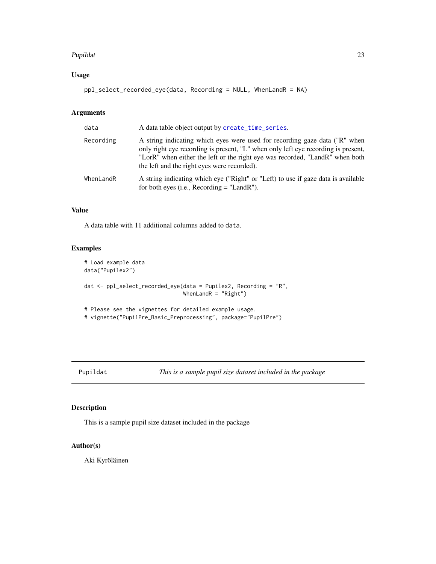#### <span id="page-22-0"></span>Pupildat 23

## Usage

ppl\_select\_recorded\_eye(data, Recording = NULL, WhenLandR = NA)

#### Arguments

| data      | A data table object output by create_time_series.                                                                                                                                                                                                                                              |
|-----------|------------------------------------------------------------------------------------------------------------------------------------------------------------------------------------------------------------------------------------------------------------------------------------------------|
| Recording | A string indicating which eyes were used for recording gaze data ("R" when<br>only right eye recording is present, "L" when only left eye recording is present,<br>"LorR" when either the left or the right eye was recorded, "LandR" when both<br>the left and the right eyes were recorded). |
| WhenLandR | A string indicating which eye ("Right" or "Left) to use if gaze data is available<br>for both eyes (i.e., Recording $=$ "LandR").                                                                                                                                                              |

#### Value

A data table with 11 additional columns added to data.

#### Examples

```
# Load example data
data("Pupilex2")
dat <- ppl_select_recorded_eye(data = Pupilex2, Recording = "R",
                               WhenLandR = "Right")
# Please see the vignettes for detailed example usage.
```

```
# vignette("PupilPre_Basic_Preprocessing", package="PupilPre")
```
Pupildat *This is a sample pupil size dataset included in the package*

## Description

This is a sample pupil size dataset included in the package

## Author(s)

Aki Kyröläinen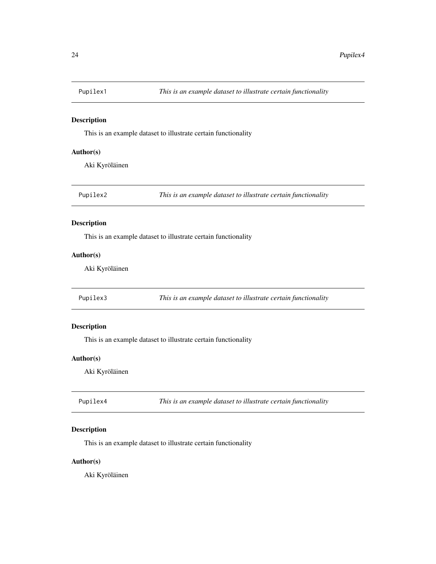<span id="page-23-0"></span>

This is an example dataset to illustrate certain functionality

## Author(s)

Aki Kyröläinen

Pupilex2 *This is an example dataset to illustrate certain functionality*

## Description

This is an example dataset to illustrate certain functionality

## Author(s)

Aki Kyröläinen

Pupilex3 *This is an example dataset to illustrate certain functionality*

### Description

This is an example dataset to illustrate certain functionality

## Author(s)

Aki Kyröläinen

| This is an example dataset to illustrate certain functionality<br>Pupilex4 |  |
|----------------------------------------------------------------------------|--|
|----------------------------------------------------------------------------|--|

## Description

This is an example dataset to illustrate certain functionality

## Author(s)

Aki Kyröläinen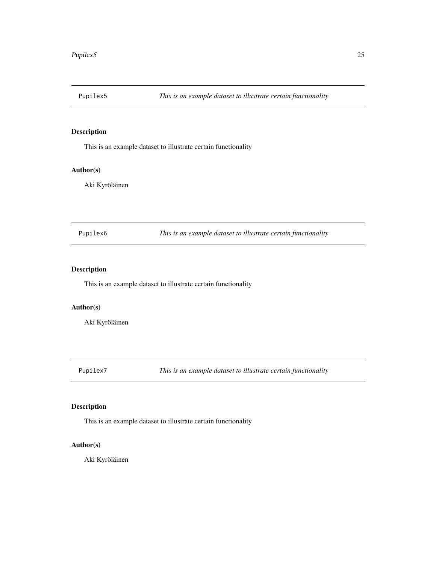<span id="page-24-0"></span>

This is an example dataset to illustrate certain functionality

## Author(s)

Aki Kyröläinen

Pupilex6 *This is an example dataset to illustrate certain functionality*

## Description

This is an example dataset to illustrate certain functionality

#### Author(s)

Aki Kyröläinen

Pupilex7 *This is an example dataset to illustrate certain functionality*

## Description

This is an example dataset to illustrate certain functionality

## Author(s)

Aki Kyröläinen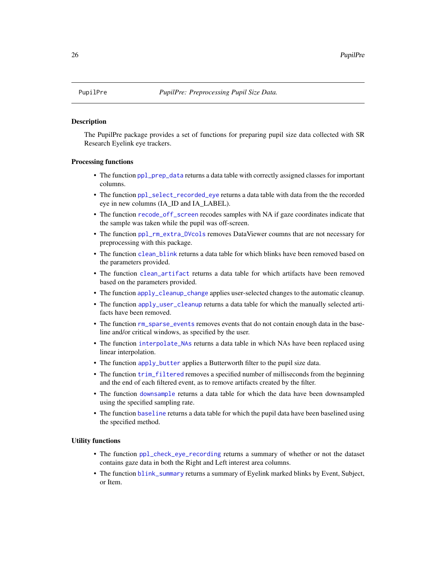<span id="page-25-0"></span>

The PupilPre package provides a set of functions for preparing pupil size data collected with SR Research Eyelink eye trackers.

#### Processing functions

- The function [ppl\\_prep\\_data](#page-20-1) returns a data table with correctly assigned classes for important columns.
- The function [ppl\\_select\\_recorded\\_eye](#page-21-1) returns a data table with data from the the recorded eye in new columns (IA\_ID and IA\_LABEL).
- The function [recode\\_off\\_screen](#page-27-1) recodes samples with NA if gaze coordinates indicate that the sample was taken while the pupil was off-screen.
- The function [ppl\\_rm\\_extra\\_DVcols](#page-21-2) removes DataViewer coumns that are not necessary for preprocessing with this package.
- The function [clean\\_blink](#page-9-1) returns a data table for which blinks have been removed based on the parameters provided.
- The function [clean\\_artifact](#page-8-1) returns a data table for which artifacts have been removed based on the parameters provided.
- The function [apply\\_cleanup\\_change](#page-3-1) applies user-selected changes to the automatic cleanup.
- The function [apply\\_user\\_cleanup](#page-4-1) returns a data table for which the manually selected artifacts have been removed.
- The function [rm\\_sparse\\_events](#page-27-2) removes events that do not contain enough data in the baseline and/or critical windows, as specified by the user.
- The function [interpolate\\_NAs](#page-12-1) returns a data table in which NAs have been replaced using linear interpolation.
- The function [apply\\_butter](#page-2-1) applies a Butterworth filter to the pupil size data.
- The function [trim\\_filtered](#page-28-1) removes a specified number of milliseconds from the beginning and the end of each filtered event, as to remove artifacts created by the filter.
- The function [downsample](#page-11-1) returns a data table for which the data have been downsampled using the specified sampling rate.
- The function [baseline](#page-5-1) returns a data table for which the pupil data have been baselined using the specified method.

#### Utility functions

- The function [ppl\\_check\\_eye\\_recording](#page-16-1) returns a summary of whether or not the dataset contains gaze data in both the Right and Left interest area columns.
- The function [blink\\_summary](#page-6-1) returns a summary of Eyelink marked blinks by Event, Subject, or Item.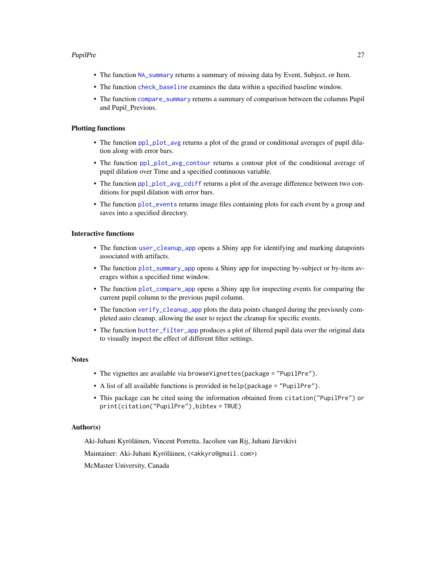#### <span id="page-26-0"></span>PupilPre 27

- The function [NA\\_summary](#page-13-1) returns a summary of missing data by Event, Subject, or Item.
- The function [check\\_baseline](#page-7-1) examines the data within a specified baseline window.
- The function [compare\\_summary](#page-10-1) returns a summary of comparison between the columns Pupil and Pupil\_Previous.

## Plotting functions

- The function [ppl\\_plot\\_avg](#page-16-2) returns a plot of the grand or conditional averages of pupil dilation along with error bars.
- The function [ppl\\_plot\\_avg\\_contour](#page-19-1) returns a contour plot of the conditional average of pupil dilation over Time and a specified continuous variable.
- The function [ppl\\_plot\\_avg\\_cdiff](#page-18-1) returns a plot of the average difference between two conditions for pupil dilation with error bars.
- The function [plot\\_events](#page-14-1) returns image files containing plots for each event by a group and saves into a specified directory.

## Interactive functions

- The function [user\\_cleanup\\_app](#page-29-1) opens a Shiny app for identifying and marking datapoints associated with artifacts.
- The function [plot\\_summary\\_app](#page-15-1) opens a Shiny app for inspecting by-subject or by-item averages within a specified time window.
- The function [plot\\_compare\\_app](#page-13-2) opens a Shiny app for inspecting events for comparing the current pupil column to the previous pupil column.
- The function [verify\\_cleanup\\_app](#page-30-1) plots the data points changed during the previously completed auto cleanup, allowing the user to reject the cleanup for specific events.
- The function [butter\\_filter\\_app](#page-6-2) produces a plot of filtered pupil data over the original data to visually inspect the effect of different filter settings.

#### **Notes**

- The vignettes are available via browseVignettes(package = "PupilPre").
- A list of all available functions is provided in help(package = "PupilPre").
- This package can be cited using the information obtained from citation("PupilPre") or print(citation("PupilPre"),bibtex = TRUE)

## Author(s)

Aki-Juhani Kyröläinen, Vincent Porretta, Jacolien van Rij, Juhani Järvikivi

Maintainer: Aki-Juhani Kyröläinen, (<akkyro@gmail.com>)

McMaster University, Canada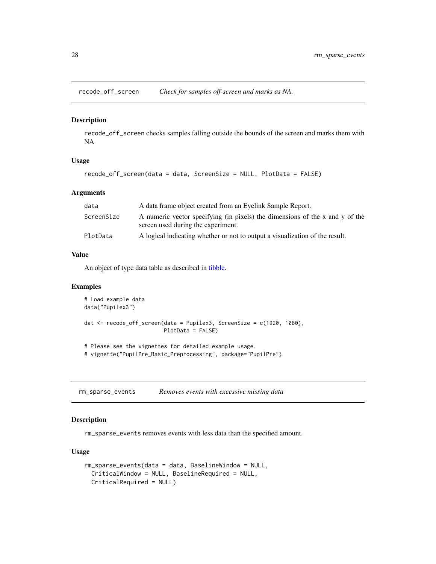<span id="page-27-1"></span><span id="page-27-0"></span>recode\_off\_screen *Check for samples off-screen and marks as NA.*

#### Description

recode\_off\_screen checks samples falling outside the bounds of the screen and marks them with NA

## Usage

```
recode_off_screen(data = data, ScreenSize = NULL, PlotData = FALSE)
```
## Arguments

| data       | A data frame object created from an Eyelink Sample Report.                                                         |
|------------|--------------------------------------------------------------------------------------------------------------------|
| ScreenSize | A numeric vector specifying (in pixels) the dimensions of the x and y of the<br>screen used during the experiment. |
| PlotData   | A logical indicating whether or not to output a visualization of the result.                                       |

## Value

An object of type data table as described in [tibble.](#page-0-0)

#### Examples

```
# Load example data
data("Pupilex3")
dat <- recode_off_screen(data = Pupilex3, ScreenSize = c(1920, 1080),
                        PlotData = FALSE)
# Please see the vignettes for detailed example usage.
# vignette("PupilPre_Basic_Preprocessing", package="PupilPre")
```
<span id="page-27-2"></span>rm\_sparse\_events *Removes events with excessive missing data*

## Description

rm\_sparse\_events removes events with less data than the specified amount.

#### Usage

```
rm_sparse_events(data = data, BaselineWindow = NULL,
 CriticalWindow = NULL, BaselineRequired = NULL,
 CriticalRequired = NULL)
```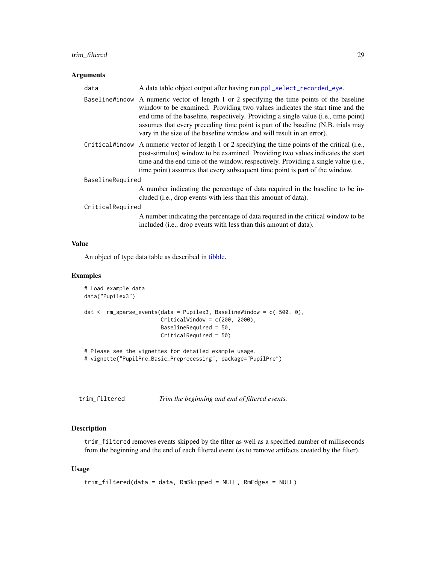## <span id="page-28-0"></span>trim\_filtered 29

## Arguments

| data             | A data table object output after having run ppl_select_recorded_eye.                                                                                                                                                                                                                                                                                                                                                             |
|------------------|----------------------------------------------------------------------------------------------------------------------------------------------------------------------------------------------------------------------------------------------------------------------------------------------------------------------------------------------------------------------------------------------------------------------------------|
|                  | Baseline Window A numeric vector of length 1 or 2 specifying the time points of the baseline<br>window to be examined. Providing two values indicates the start time and the<br>end time of the baseline, respectively. Providing a single value (i.e., time point)<br>assumes that every preceding time point is part of the baseline (N.B. trials may<br>vary in the size of the baseline window and will result in an error). |
|                  | Critical Window A numeric vector of length 1 or 2 specifying the time points of the critical (i.e.,<br>post-stimulus) window to be examined. Providing two values indicates the start<br>time and the end time of the window, respectively. Providing a single value (i.e.,<br>time point) assumes that every subsequent time point is part of the window.                                                                       |
| BaselineRequired |                                                                                                                                                                                                                                                                                                                                                                                                                                  |
|                  | A number indicating the percentage of data required in the baseline to be in-<br>cluded (i.e., drop events with less than this amount of data).                                                                                                                                                                                                                                                                                  |
| CriticalRequired |                                                                                                                                                                                                                                                                                                                                                                                                                                  |
|                  | A number indicating the percentage of data required in the critical window to be<br>included (i.e., drop events with less than this amount of data).                                                                                                                                                                                                                                                                             |

## Value

An object of type data table as described in [tibble.](#page-0-0)

## Examples

```
# Load example data
data("Pupilex3")
dat <- rm_sparse_events(data = Pupilex3, BaselineWindow = c(-500, 0),
                        CriticalWindow = c(200, 2000),
                        BaselineRequired = 50,
                       CriticalRequired = 50)
# Please see the vignettes for detailed example usage.
# vignette("PupilPre_Basic_Preprocessing", package="PupilPre")
```
<span id="page-28-1"></span>

| trim_filtered | Trim the beginning and end of filtered events. |
|---------------|------------------------------------------------|
|---------------|------------------------------------------------|

## Description

trim\_filtered removes events skipped by the filter as well as a specified number of milliseconds from the beginning and the end of each filtered event (as to remove artifacts created by the filter).

#### Usage

```
trim_filtered(data = data, RmSkipped = NULL, RmEdges = NULL)
```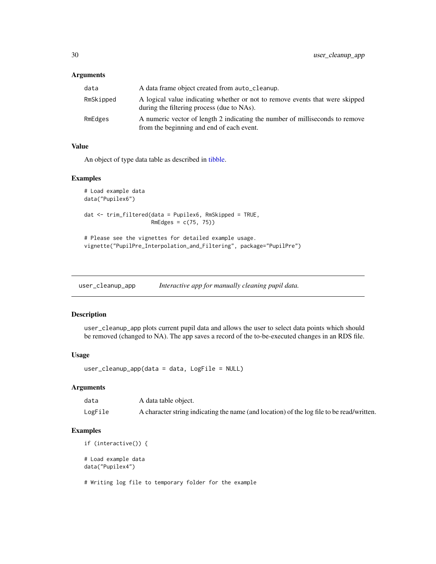#### <span id="page-29-0"></span>Arguments

| data      | A data frame object created from auto_cleanup.                                                                             |
|-----------|----------------------------------------------------------------------------------------------------------------------------|
| RmSkipped | A logical value indicating whether or not to remove events that were skipped<br>during the filtering process (due to NAs). |
| RmEdges   | A numeric vector of length 2 indicating the number of milliseconds to remove<br>from the beginning and end of each event.  |

#### Value

An object of type data table as described in [tibble.](#page-0-0)

#### Examples

```
# Load example data
data("Pupilex6")
dat <- trim_filtered(data = Pupilex6, RmSkipped = TRUE,
                     RmEdges = c(75, 75))
# Please see the vignettes for detailed example usage.
vignette("PupilPre_Interpolation_and_Filtering", package="PupilPre")
```
<span id="page-29-1"></span>user\_cleanup\_app *Interactive app for manually cleaning pupil data.*

## Description

user\_cleanup\_app plots current pupil data and allows the user to select data points which should be removed (changed to NA). The app saves a record of the to-be-executed changes in an RDS file.

#### Usage

```
user_cleanup_app(data = data, LogFile = NULL)
```
## Arguments

| data    | A data table object.                                                                      |
|---------|-------------------------------------------------------------------------------------------|
| LogFile | A character string indicating the name (and location) of the log file to be read/written. |

```
if (interactive()) {
# Load example data
data("Pupilex4")
# Writing log file to temporary folder for the example
```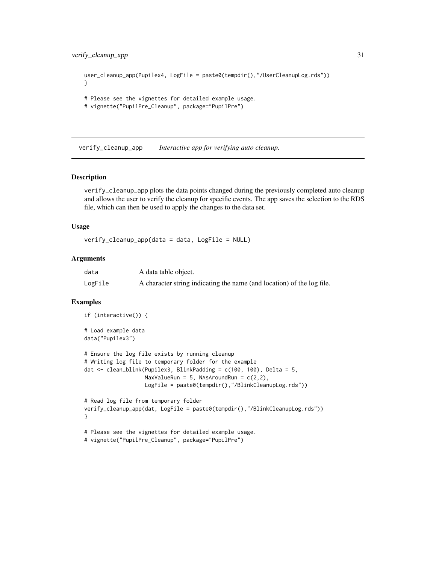```
user_cleanup_app(Pupilex4, LogFile = paste0(tempdir(),"/UserCleanupLog.rds"))
}
# Please see the vignettes for detailed example usage.
# vignette("PupilPre_Cleanup", package="PupilPre")
```
<span id="page-30-1"></span>verify\_cleanup\_app *Interactive app for verifying auto cleanup.*

## Description

verify\_cleanup\_app plots the data points changed during the previously completed auto cleanup and allows the user to verify the cleanup for specific events. The app saves the selection to the RDS file, which can then be used to apply the changes to the data set.

#### Usage

```
verify_cleanup_app(data = data, LogFile = NULL)
```
#### Arguments

| data    | A data table object.                                                   |
|---------|------------------------------------------------------------------------|
| LogFile | A character string indicating the name (and location) of the log file. |

```
if (interactive()) {
# Load example data
data("Pupilex3")
# Ensure the log file exists by running cleanup
# Writing log file to temporary folder for the example
dat <- clean_blink(Pupilex3, BlinkPadding = c(100, 100), Delta = 5,
                   MaxValueRun = 5, NAsAroundRun = c(2,2),
                   LogFile = paste0(tempdir(),"/BlinkCleanupLog.rds"))
# Read log file from temporary folder
verify_cleanup_app(dat, LogFile = paste0(tempdir(),"/BlinkCleanupLog.rds"))
}
# Please see the vignettes for detailed example usage.
# vignette("PupilPre_Cleanup", package="PupilPre")
```